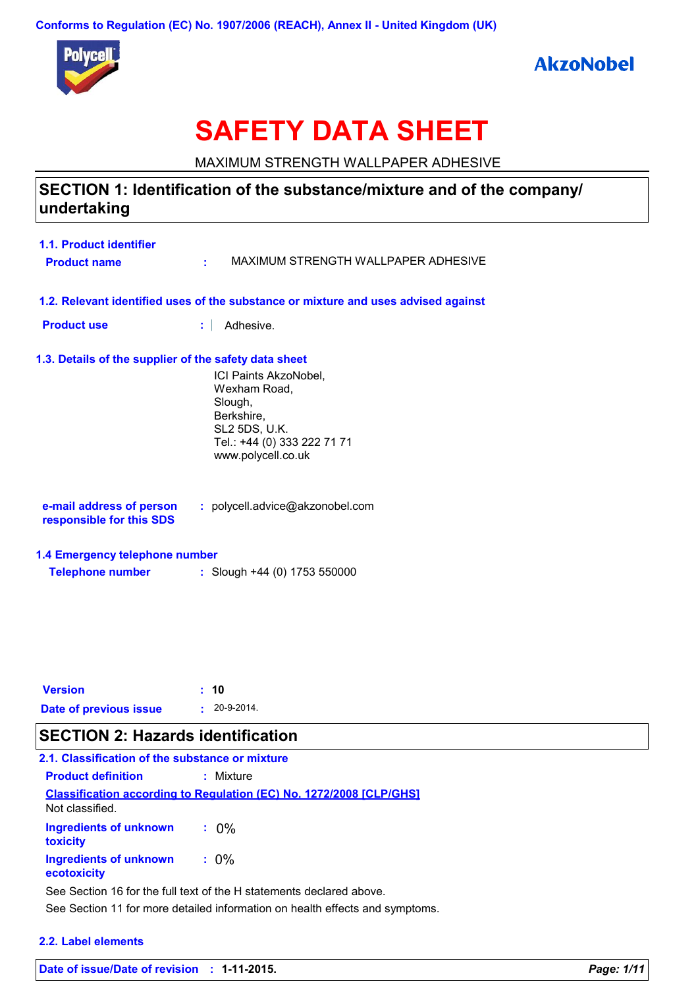**Conforms to Regulation (EC) No. 1907/2006 (REACH), Annex II - United Kingdom (UK)**





# **SAFETY DATA SHEET**

MAXIMUM STRENGTH WALLPAPER ADHESIVE

## **SECTION 1: Identification of the substance/mixture and of the company/ undertaking**

| 1.1. Product identifier<br><b>Product name</b>                                     |                                                                                                                                      | MAXIMUM STRENGTH WALLPAPER ADHESIVE |
|------------------------------------------------------------------------------------|--------------------------------------------------------------------------------------------------------------------------------------|-------------------------------------|
| 1.2. Relevant identified uses of the substance or mixture and uses advised against |                                                                                                                                      |                                     |
| <b>Product use</b>                                                                 | Adhesive.                                                                                                                            |                                     |
| 1.3. Details of the supplier of the safety data sheet                              |                                                                                                                                      |                                     |
|                                                                                    | ICI Paints AkzoNobel,<br>Wexham Road.<br>Slough,<br>Berkshire,<br>SL2 5DS, U.K.<br>Tel.: +44 (0) 333 222 71 71<br>www.polycell.co.uk |                                     |
| e-mail address of person<br>responsible for this SDS                               | : polycell.advice@akzonobel.com                                                                                                      |                                     |
| 1.4 Emergency telephone number                                                     |                                                                                                                                      |                                     |
| <b>Telephone number</b>                                                            | : Slough +44 (0) 1753 550000                                                                                                         |                                     |

| <b>Version</b>         | : 10               |
|------------------------|--------------------|
| Date of previous issue | $: 20 - 9 - 2014.$ |

## **SECTION 2: Hazards identification**

| 2.1. Classification of the substance or mixture                      |                                                                            |  |
|----------------------------------------------------------------------|----------------------------------------------------------------------------|--|
| <b>Product definition</b>                                            | : Mixture                                                                  |  |
| Not classified.                                                      | <b>Classification according to Regulation (EC) No. 1272/2008 [CLP/GHS]</b> |  |
| <b>Ingredients of unknown</b><br>toxicity                            | ፡ 0%                                                                       |  |
| <b>Ingredients of unknown</b><br>ecotoxicity                         | $: 0\%$                                                                    |  |
| See Section 16 for the full text of the H statements declared above. |                                                                            |  |

See Section 11 for more detailed information on health effects and symptoms.

### **2.2. Label elements**

**Date of issue/Date of revision : 1-11-2015.** *Page: 1/11*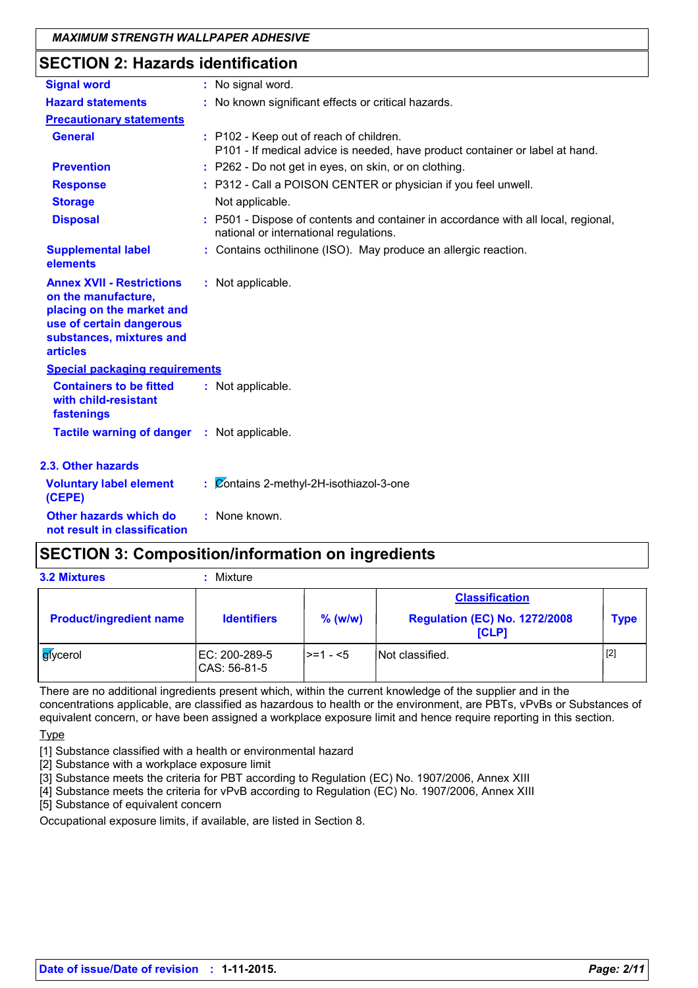## **SECTION 2: Hazards identification**

| <b>Signal word</b>                                                                                                                                              | : No signal word.                                                                                                            |
|-----------------------------------------------------------------------------------------------------------------------------------------------------------------|------------------------------------------------------------------------------------------------------------------------------|
| <b>Hazard statements</b>                                                                                                                                        | : No known significant effects or critical hazards.                                                                          |
| <b>Precautionary statements</b>                                                                                                                                 |                                                                                                                              |
| <b>General</b>                                                                                                                                                  | : P102 - Keep out of reach of children.<br>P101 - If medical advice is needed, have product container or label at hand.      |
| <b>Prevention</b>                                                                                                                                               | : P262 - Do not get in eyes, on skin, or on clothing.                                                                        |
| <b>Response</b>                                                                                                                                                 | : P312 - Call a POISON CENTER or physician if you feel unwell.                                                               |
| <b>Storage</b>                                                                                                                                                  | Not applicable.                                                                                                              |
| <b>Disposal</b>                                                                                                                                                 | : P501 - Dispose of contents and container in accordance with all local, regional,<br>national or international regulations. |
| <b>Supplemental label</b><br>elements                                                                                                                           | : Contains octhilinone (ISO). May produce an allergic reaction.                                                              |
| <b>Annex XVII - Restrictions</b><br>on the manufacture,<br>placing on the market and<br>use of certain dangerous<br>substances, mixtures and<br><b>articles</b> | : Not applicable.                                                                                                            |
| <b>Special packaging requirements</b>                                                                                                                           |                                                                                                                              |
| <b>Containers to be fitted</b><br>with child-resistant<br>fastenings                                                                                            | : Not applicable.                                                                                                            |
| <b>Tactile warning of danger : Not applicable.</b>                                                                                                              |                                                                                                                              |
| 2.3. Other hazards                                                                                                                                              |                                                                                                                              |
| <b>Voluntary label element</b><br>(CEPE)                                                                                                                        | : Contains 2-methyl-2H-isothiazol-3-one                                                                                      |
| Other hazards which do<br>not result in classification                                                                                                          | : None known.                                                                                                                |

## **SECTION 3: Composition/information on ingredients**

**3.2 Mixtures :** Mixture

| <b>Product/ingredient name</b> | <b>Identifiers</b>            | $%$ (w/w) | <b>Classification</b><br><b>Regulation (EC) No. 1272/2008</b><br><b>[CLP]</b> | <b>Type</b> |
|--------------------------------|-------------------------------|-----------|-------------------------------------------------------------------------------|-------------|
| <b>g</b> iycerol               | EC: 200-289-5<br>CAS: 56-81-5 | l>=1 - <5 | Not classified.                                                               | $[2]$       |

There are no additional ingredients present which, within the current knowledge of the supplier and in the concentrations applicable, are classified as hazardous to health or the environment, are PBTs, vPvBs or Substances of equivalent concern, or have been assigned a workplace exposure limit and hence require reporting in this section.

**Type** 

[1] Substance classified with a health or environmental hazard

[2] Substance with a workplace exposure limit

[3] Substance meets the criteria for PBT according to Regulation (EC) No. 1907/2006, Annex XIII

[4] Substance meets the criteria for vPvB according to Regulation (EC) No. 1907/2006, Annex XIII

[5] Substance of equivalent concern

Occupational exposure limits, if available, are listed in Section 8.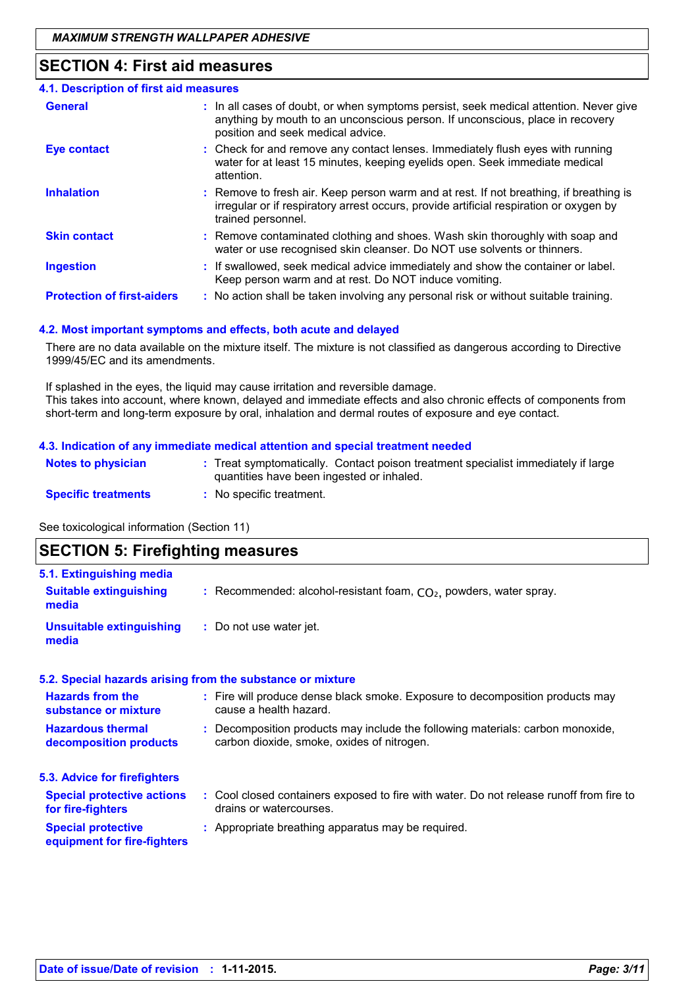## **SECTION 4: First aid measures**

| 4.1. Description of first aid measures |                                                                                                                                                                                                             |
|----------------------------------------|-------------------------------------------------------------------------------------------------------------------------------------------------------------------------------------------------------------|
| <b>General</b>                         | : In all cases of doubt, or when symptoms persist, seek medical attention. Never give<br>anything by mouth to an unconscious person. If unconscious, place in recovery<br>position and seek medical advice. |
| <b>Eye contact</b>                     | : Check for and remove any contact lenses. Immediately flush eyes with running<br>water for at least 15 minutes, keeping eyelids open. Seek immediate medical<br>attention.                                 |
| <b>Inhalation</b>                      | : Remove to fresh air. Keep person warm and at rest. If not breathing, if breathing is<br>irregular or if respiratory arrest occurs, provide artificial respiration or oxygen by<br>trained personnel.      |
| <b>Skin contact</b>                    | : Remove contaminated clothing and shoes. Wash skin thoroughly with soap and<br>water or use recognised skin cleanser. Do NOT use solvents or thinners.                                                     |
| <b>Ingestion</b>                       | : If swallowed, seek medical advice immediately and show the container or label.<br>Keep person warm and at rest. Do NOT induce vomiting.                                                                   |
| <b>Protection of first-aiders</b>      | : No action shall be taken involving any personal risk or without suitable training.                                                                                                                        |

### **4.2. Most important symptoms and effects, both acute and delayed**

There are no data available on the mixture itself. The mixture is not classified as dangerous according to Directive 1999/45/EC and its amendments.

If splashed in the eyes, the liquid may cause irritation and reversible damage. This takes into account, where known, delayed and immediate effects and also chronic effects of components from short-term and long-term exposure by oral, inhalation and dermal routes of exposure and eye contact.

#### **4.3. Indication of any immediate medical attention and special treatment needed**

| <b>Notes to physician</b>  | : Treat symptomatically. Contact poison treatment specialist immediately if large<br>quantities have been ingested or inhaled. |
|----------------------------|--------------------------------------------------------------------------------------------------------------------------------|
| <b>Specific treatments</b> | No specific treatment.                                                                                                         |

See toxicological information (Section 11)

## **SECTION 5: Firefighting measures**

| 5.1. Extinguishing media                                 |                                                                                                                              |
|----------------------------------------------------------|------------------------------------------------------------------------------------------------------------------------------|
| <b>Suitable extinguishing</b><br>media                   | : Recommended: alcohol-resistant foam, $CO2$ , powders, water spray.                                                         |
| <b>Unsuitable extinguishing</b><br>media                 | : Do not use water jet.                                                                                                      |
|                                                          | 5.2. Special hazards arising from the substance or mixture                                                                   |
| <b>Hazards from the</b><br>substance or mixture          | : Fire will produce dense black smoke. Exposure to decomposition products may<br>cause a health hazard.                      |
| <b>Hazardous thermal</b><br>decomposition products       | : Decomposition products may include the following materials: carbon monoxide,<br>carbon dioxide, smoke, oxides of nitrogen. |
| 5.3. Advice for firefighters                             |                                                                                                                              |
| <b>Special protective actions</b><br>for fire-fighters   | : Cool closed containers exposed to fire with water. Do not release runoff from fire to<br>drains or watercourses.           |
| <b>Special protective</b><br>equipment for fire-fighters | : Appropriate breathing apparatus may be required.                                                                           |
|                                                          |                                                                                                                              |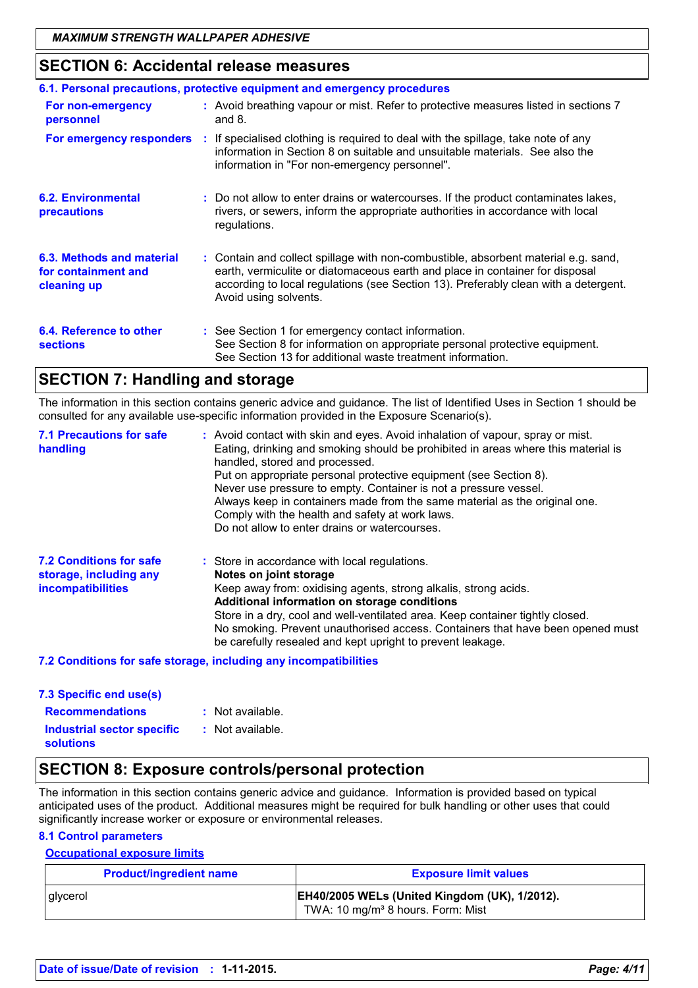## **SECTION 6: Accidental release measures**

| 6.1. Personal precautions, protective equipment and emergency procedures |  |                                                                                                                                                                                                                                                                                    |
|--------------------------------------------------------------------------|--|------------------------------------------------------------------------------------------------------------------------------------------------------------------------------------------------------------------------------------------------------------------------------------|
| For non-emergency<br>personnel                                           |  | : Avoid breathing vapour or mist. Refer to protective measures listed in sections 7<br>and $8.$                                                                                                                                                                                    |
|                                                                          |  | For emergency responders : If specialised clothing is required to deal with the spillage, take note of any<br>information in Section 8 on suitable and unsuitable materials. See also the<br>information in "For non-emergency personnel".                                         |
| 6.2. Environmental<br>precautions                                        |  | : Do not allow to enter drains or watercourses. If the product contaminates lakes,<br>rivers, or sewers, inform the appropriate authorities in accordance with local<br>regulations.                                                                                               |
| 6.3. Methods and material<br>for containment and<br>cleaning up          |  | : Contain and collect spillage with non-combustible, absorbent material e.g. sand,<br>earth, vermiculite or diatomaceous earth and place in container for disposal<br>according to local regulations (see Section 13). Preferably clean with a detergent.<br>Avoid using solvents. |
| 6.4. Reference to other<br><b>sections</b>                               |  | : See Section 1 for emergency contact information.<br>See Section 8 for information on appropriate personal protective equipment.<br>See Section 13 for additional waste treatment information.                                                                                    |

## **SECTION 7: Handling and storage**

The information in this section contains generic advice and guidance. The list of Identified Uses in Section 1 should be consulted for any available use-specific information provided in the Exposure Scenario(s).

| <b>7.1 Precautions for safe</b><br>handling                                          | : Avoid contact with skin and eyes. Avoid inhalation of vapour, spray or mist.<br>Eating, drinking and smoking should be prohibited in areas where this material is<br>handled, stored and processed.<br>Put on appropriate personal protective equipment (see Section 8).<br>Never use pressure to empty. Container is not a pressure vessel.<br>Always keep in containers made from the same material as the original one.<br>Comply with the health and safety at work laws.<br>Do not allow to enter drains or watercourses. |
|--------------------------------------------------------------------------------------|----------------------------------------------------------------------------------------------------------------------------------------------------------------------------------------------------------------------------------------------------------------------------------------------------------------------------------------------------------------------------------------------------------------------------------------------------------------------------------------------------------------------------------|
| <b>7.2 Conditions for safe</b><br>storage, including any<br><i>incompatibilities</i> | : Store in accordance with local regulations.<br>Notes on joint storage<br>Keep away from: oxidising agents, strong alkalis, strong acids.<br>Additional information on storage conditions<br>Store in a dry, cool and well-ventilated area. Keep container tightly closed.<br>No smoking. Prevent unauthorised access. Containers that have been opened must<br>be carefully resealed and kept upright to prevent leakage.                                                                                                      |

### **7.2 Conditions for safe storage, including any incompatibilities**

| 7.3 Specific end use(s)                               |                  |
|-------------------------------------------------------|------------------|
| <b>Recommendations</b>                                | : Not available. |
| <b>Industrial sector specific</b><br><b>solutions</b> | : Not available. |

### **SECTION 8: Exposure controls/personal protection**

The information in this section contains generic advice and guidance. Information is provided based on typical anticipated uses of the product. Additional measures might be required for bulk handling or other uses that could significantly increase worker or exposure or environmental releases.

### **8.1 Control parameters**

### **Occupational exposure limits**

| <b>Product/ingredient name</b> | <b>Exposure limit values</b>                                                                   |
|--------------------------------|------------------------------------------------------------------------------------------------|
| glycerol                       | EH40/2005 WELs (United Kingdom (UK), 1/2012).<br>TWA: 10 mg/m <sup>3</sup> 8 hours. Form: Mist |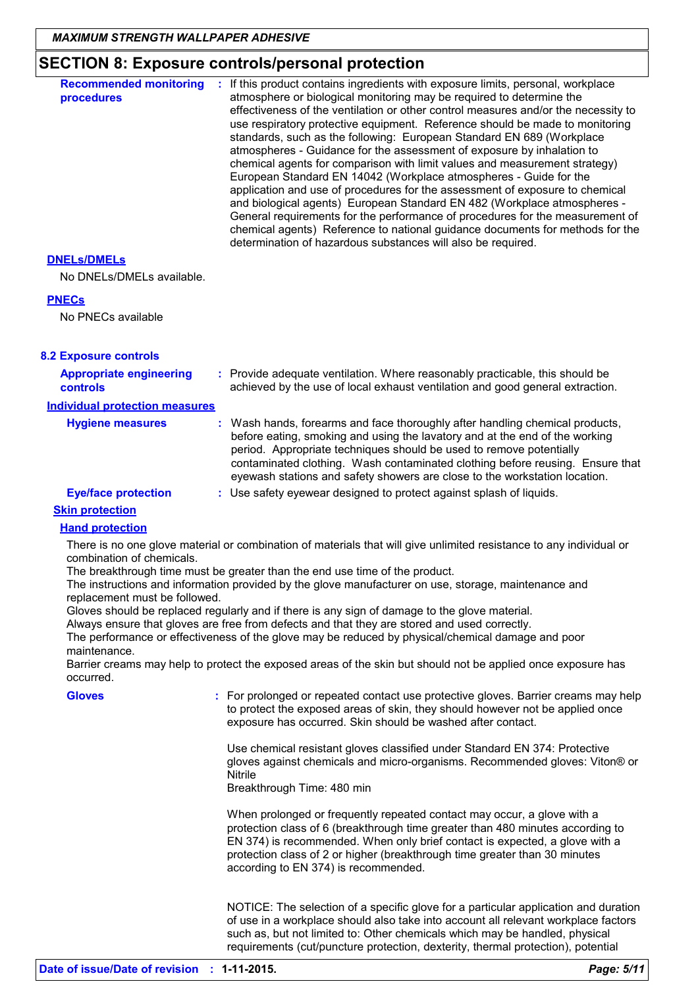## **SECTION 8: Exposure controls/personal protection**

| <b>Recommended monitoring</b><br>procedures                                             | : If this product contains ingredients with exposure limits, personal, workplace<br>atmosphere or biological monitoring may be required to determine the<br>effectiveness of the ventilation or other control measures and/or the necessity to<br>use respiratory protective equipment. Reference should be made to monitoring<br>standards, such as the following: European Standard EN 689 (Workplace<br>atmospheres - Guidance for the assessment of exposure by inhalation to<br>chemical agents for comparison with limit values and measurement strategy)<br>European Standard EN 14042 (Workplace atmospheres - Guide for the<br>application and use of procedures for the assessment of exposure to chemical<br>and biological agents) European Standard EN 482 (Workplace atmospheres -<br>General requirements for the performance of procedures for the measurement of<br>chemical agents) Reference to national guidance documents for methods for the<br>determination of hazardous substances will also be required. |
|-----------------------------------------------------------------------------------------|------------------------------------------------------------------------------------------------------------------------------------------------------------------------------------------------------------------------------------------------------------------------------------------------------------------------------------------------------------------------------------------------------------------------------------------------------------------------------------------------------------------------------------------------------------------------------------------------------------------------------------------------------------------------------------------------------------------------------------------------------------------------------------------------------------------------------------------------------------------------------------------------------------------------------------------------------------------------------------------------------------------------------------|
| <b>DNELS/DMELS</b>                                                                      |                                                                                                                                                                                                                                                                                                                                                                                                                                                                                                                                                                                                                                                                                                                                                                                                                                                                                                                                                                                                                                    |
| No DNELs/DMELs available.                                                               |                                                                                                                                                                                                                                                                                                                                                                                                                                                                                                                                                                                                                                                                                                                                                                                                                                                                                                                                                                                                                                    |
| <b>PNECs</b>                                                                            |                                                                                                                                                                                                                                                                                                                                                                                                                                                                                                                                                                                                                                                                                                                                                                                                                                                                                                                                                                                                                                    |
| No PNECs available                                                                      |                                                                                                                                                                                                                                                                                                                                                                                                                                                                                                                                                                                                                                                                                                                                                                                                                                                                                                                                                                                                                                    |
| <b>8.2 Exposure controls</b>                                                            |                                                                                                                                                                                                                                                                                                                                                                                                                                                                                                                                                                                                                                                                                                                                                                                                                                                                                                                                                                                                                                    |
| <b>Appropriate engineering</b><br>controls                                              | : Provide adequate ventilation. Where reasonably practicable, this should be<br>achieved by the use of local exhaust ventilation and good general extraction.                                                                                                                                                                                                                                                                                                                                                                                                                                                                                                                                                                                                                                                                                                                                                                                                                                                                      |
| <b>Individual protection measures</b>                                                   |                                                                                                                                                                                                                                                                                                                                                                                                                                                                                                                                                                                                                                                                                                                                                                                                                                                                                                                                                                                                                                    |
| <b>Hygiene measures</b>                                                                 | Wash hands, forearms and face thoroughly after handling chemical products,<br>before eating, smoking and using the lavatory and at the end of the working<br>period. Appropriate techniques should be used to remove potentially<br>contaminated clothing. Wash contaminated clothing before reusing. Ensure that<br>eyewash stations and safety showers are close to the workstation location.                                                                                                                                                                                                                                                                                                                                                                                                                                                                                                                                                                                                                                    |
| <b>Eye/face protection</b>                                                              | : Use safety eyewear designed to protect against splash of liquids.                                                                                                                                                                                                                                                                                                                                                                                                                                                                                                                                                                                                                                                                                                                                                                                                                                                                                                                                                                |
| <b>Skin protection</b>                                                                  |                                                                                                                                                                                                                                                                                                                                                                                                                                                                                                                                                                                                                                                                                                                                                                                                                                                                                                                                                                                                                                    |
| <b>Hand protection</b>                                                                  |                                                                                                                                                                                                                                                                                                                                                                                                                                                                                                                                                                                                                                                                                                                                                                                                                                                                                                                                                                                                                                    |
| combination of chemicals.<br>replacement must be followed.<br>maintenance.<br>occurred. | There is no one glove material or combination of materials that will give unlimited resistance to any individual or<br>The breakthrough time must be greater than the end use time of the product.<br>The instructions and information provided by the glove manufacturer on use, storage, maintenance and<br>Gloves should be replaced regularly and if there is any sign of damage to the glove material.<br>Always ensure that gloves are free from defects and that they are stored and used correctly.<br>The performance or effectiveness of the glove may be reduced by physical/chemical damage and poor<br>Barrier creams may help to protect the exposed areas of the skin but should not be applied once exposure has                                                                                                                                                                                                                                                                                                   |
| <b>Gloves</b>                                                                           | : For prolonged or repeated contact use protective gloves. Barrier creams may help<br>to protect the exposed areas of skin, they should however not be applied once<br>exposure has occurred. Skin should be washed after contact.                                                                                                                                                                                                                                                                                                                                                                                                                                                                                                                                                                                                                                                                                                                                                                                                 |
|                                                                                         | Use chemical resistant gloves classified under Standard EN 374: Protective<br>gloves against chemicals and micro-organisms. Recommended gloves: Viton® or<br>Nitrile<br>Breakthrough Time: 480 min                                                                                                                                                                                                                                                                                                                                                                                                                                                                                                                                                                                                                                                                                                                                                                                                                                 |
|                                                                                         | When prolonged or frequently repeated contact may occur, a glove with a<br>protection class of 6 (breakthrough time greater than 480 minutes according to<br>EN 374) is recommended. When only brief contact is expected, a glove with a<br>protection class of 2 or higher (breakthrough time greater than 30 minutes<br>according to EN 374) is recommended.                                                                                                                                                                                                                                                                                                                                                                                                                                                                                                                                                                                                                                                                     |
|                                                                                         | NOTICE: The selection of a specific glove for a particular application and duration<br>of use in a workplace should also take into account all relevant workplace factors<br>such as, but not limited to: Other chemicals which may be handled, physical<br>requirements (cut/puncture protection, dexterity, thermal protection), potential                                                                                                                                                                                                                                                                                                                                                                                                                                                                                                                                                                                                                                                                                       |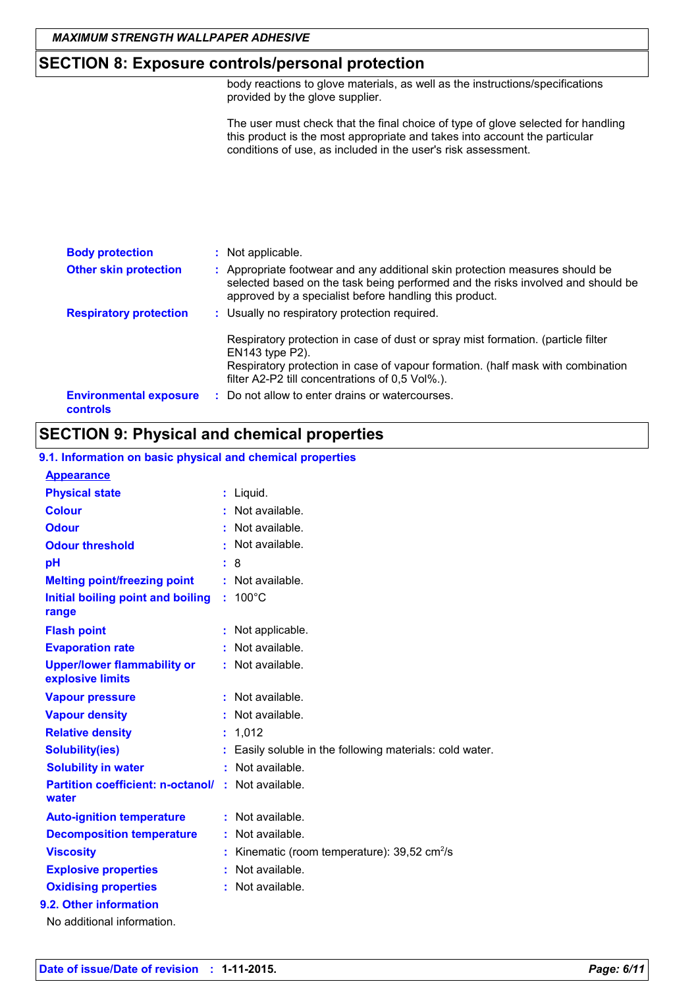### **SECTION 8: Exposure controls/personal protection**

body reactions to glove materials, as well as the instructions/specifications provided by the glove supplier.

The user must check that the final choice of type of glove selected for handling this product is the most appropriate and takes into account the particular conditions of use, as included in the user's risk assessment.

| <b>Body protection</b>                    | : Not applicable.                                                                                                                                                                                                                              |
|-------------------------------------------|------------------------------------------------------------------------------------------------------------------------------------------------------------------------------------------------------------------------------------------------|
| <b>Other skin protection</b>              | : Appropriate footwear and any additional skin protection measures should be<br>selected based on the task being performed and the risks involved and should be<br>approved by a specialist before handling this product.                      |
| <b>Respiratory protection</b>             | : Usually no respiratory protection required.                                                                                                                                                                                                  |
|                                           | Respiratory protection in case of dust or spray mist formation. (particle filter<br>$EN143$ type $P2$ ).<br>Respiratory protection in case of vapour formation. (half mask with combination<br>filter A2-P2 till concentrations of 0,5 Vol%.). |
| <b>Environmental exposure</b><br>controls | : Do not allow to enter drains or watercourses.                                                                                                                                                                                                |

## **SECTION 9: Physical and chemical properties**

### **9.1. Information on basic physical and chemical properties**

| <b>Appearance</b>                                      |   |                                                        |
|--------------------------------------------------------|---|--------------------------------------------------------|
| <b>Physical state</b>                                  |   | Liquid.                                                |
| <b>Colour</b>                                          |   | Not available.                                         |
| <b>Odour</b>                                           | t | Not available.                                         |
| <b>Odour threshold</b>                                 |   | Not available.                                         |
| pH                                                     |   | 8                                                      |
| <b>Melting point/freezing point</b>                    |   | : Not available.                                       |
| Initial boiling point and boiling<br>range             |   | $100^{\circ}$ C                                        |
| <b>Flash point</b>                                     |   | Not applicable.                                        |
| <b>Evaporation rate</b>                                |   | Not available.                                         |
| <b>Upper/lower flammability or</b><br>explosive limits |   | : Not available.                                       |
| <b>Vapour pressure</b>                                 |   | Not available.                                         |
| <b>Vapour density</b>                                  |   | Not available.                                         |
| <b>Relative density</b>                                | t | 1,012                                                  |
| <b>Solubility(ies)</b>                                 |   | Easily soluble in the following materials: cold water. |
| <b>Solubility in water</b>                             |   | : Not available.                                       |
| <b>Partition coefficient: n-octanol/</b><br>water      |   | : Not available.                                       |
| <b>Auto-ignition temperature</b>                       |   | : Not available.                                       |
| <b>Decomposition temperature</b>                       |   | Not available.                                         |
| <b>Viscosity</b>                                       |   | Kinematic (room temperature): 39,52 cm <sup>2</sup> /s |
| <b>Explosive properties</b>                            |   | : Not available.                                       |
| <b>Oxidising properties</b>                            |   | : Not available.                                       |
| 9.2. Other information                                 |   |                                                        |
| No additional information.                             |   |                                                        |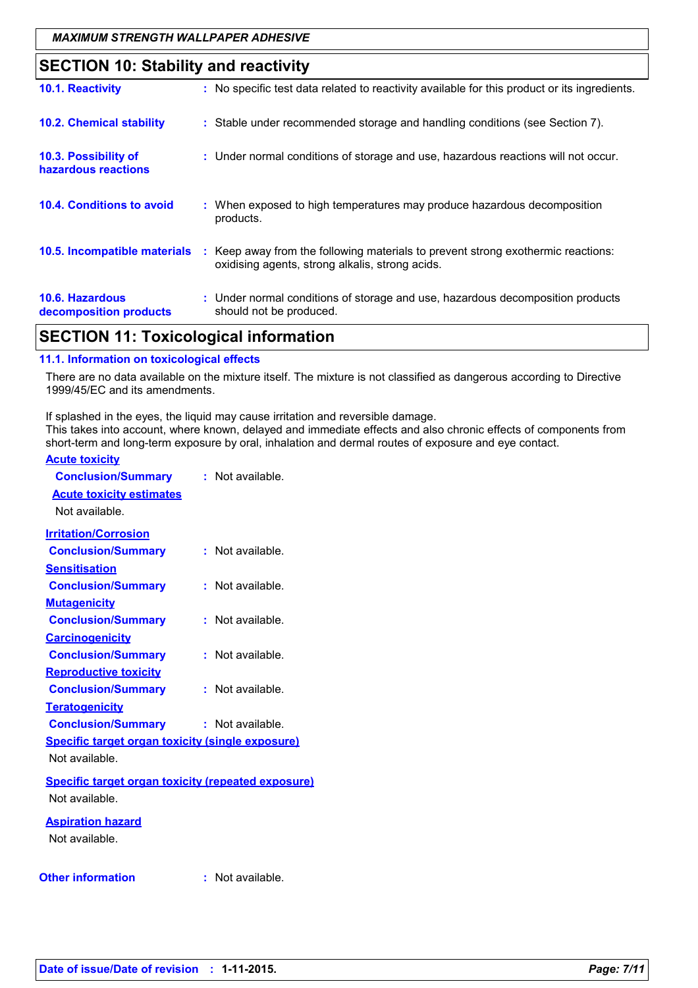## **SECTION 10: Stability and reactivity**

|                                                  | <u>.</u>                                                                                                                            |
|--------------------------------------------------|-------------------------------------------------------------------------------------------------------------------------------------|
| 10.1. Reactivity                                 | : No specific test data related to reactivity available for this product or its ingredients.                                        |
| <b>10.2. Chemical stability</b>                  | : Stable under recommended storage and handling conditions (see Section 7).                                                         |
| 10.3. Possibility of<br>hazardous reactions      | : Under normal conditions of storage and use, hazardous reactions will not occur.                                                   |
| <b>10.4. Conditions to avoid</b>                 | : When exposed to high temperatures may produce hazardous decomposition<br>products.                                                |
| 10.5. Incompatible materials                     | : Keep away from the following materials to prevent strong exothermic reactions:<br>oxidising agents, strong alkalis, strong acids. |
| <b>10.6. Hazardous</b><br>decomposition products | : Under normal conditions of storage and use, hazardous decomposition products<br>should not be produced.                           |

## **SECTION 11: Toxicological information**

### **11.1. Information on toxicological effects**

There are no data available on the mixture itself. The mixture is not classified as dangerous according to Directive 1999/45/EC and its amendments.

If splashed in the eyes, the liquid may cause irritation and reversible damage. This takes into account, where known, delayed and immediate effects and also chronic effects of components from short-term and long-term exposure by oral, inhalation and dermal routes of exposure and eye contact.

### **Acute toxicity**

| <b>Conclusion/Summary</b>                                 |    | : Not available. |
|-----------------------------------------------------------|----|------------------|
| <b>Acute toxicity estimates</b>                           |    |                  |
| Not available.                                            |    |                  |
| <b>Irritation/Corrosion</b>                               |    |                  |
| <b>Conclusion/Summary</b>                                 |    | : Not available. |
| <b>Sensitisation</b>                                      |    |                  |
| <b>Conclusion/Summary</b>                                 |    | : Not available. |
| <b>Mutagenicity</b>                                       |    |                  |
| <b>Conclusion/Summary</b>                                 |    | : Not available. |
| <b>Carcinogenicity</b>                                    |    |                  |
| <b>Conclusion/Summary</b>                                 |    | : Not available. |
| <b>Reproductive toxicity</b>                              |    |                  |
| <b>Conclusion/Summary</b>                                 |    | : Not available. |
| <b>Teratogenicity</b>                                     |    |                  |
| <b>Conclusion/Summary</b>                                 |    | : Not available. |
| <b>Specific target organ toxicity (single exposure)</b>   |    |                  |
| Not available.                                            |    |                  |
| <b>Specific target organ toxicity (repeated exposure)</b> |    |                  |
| Not available.                                            |    |                  |
| <b>Aspiration hazard</b>                                  |    |                  |
| Not available.                                            |    |                  |
|                                                           |    |                  |
| <b>Other information</b>                                  | ŧ. | Not available.   |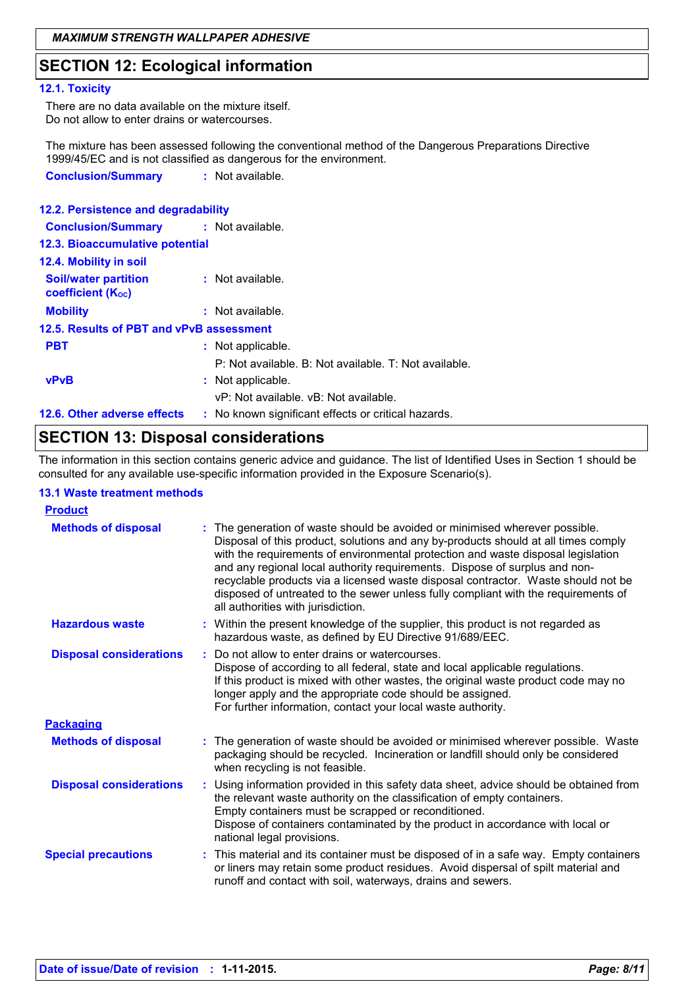## **SECTION 12: Ecological information**

#### **12.1. Toxicity**

There are no data available on the mixture itself. Do not allow to enter drains or watercourses.

The mixture has been assessed following the conventional method of the Dangerous Preparations Directive 1999/45/EC and is not classified as dangerous for the environment. **Conclusion/Summary :** Not available.

| 12.2. Persistence and degradability                     |                                                       |
|---------------------------------------------------------|-------------------------------------------------------|
| <b>Conclusion/Summary : Not available.</b>              |                                                       |
| 12.3. Bioaccumulative potential                         |                                                       |
| 12.4. Mobility in soil                                  |                                                       |
| <b>Soil/water partition</b><br><b>coefficient (Koc)</b> | : Not available.                                      |
| <b>Mobility</b>                                         | : Not available.                                      |
| 12.5. Results of PBT and vPvB assessment                |                                                       |
| <b>PBT</b>                                              | : Not applicable.                                     |
|                                                         | P: Not available. B: Not available. T: Not available. |
| <b>vPvB</b>                                             | : Not applicable.                                     |
|                                                         | vP: Not available. vB: Not available.                 |
| 12.6. Other adverse effects                             | : No known significant effects or critical hazards.   |

## **SECTION 13: Disposal considerations**

The information in this section contains generic advice and guidance. The list of Identified Uses in Section 1 should be consulted for any available use-specific information provided in the Exposure Scenario(s).

### **13.1 Waste treatment methods**

| <b>Product</b>                 |                                                                                                                                                                                                                                                                                                                                                                                                                                                                                                                                                      |
|--------------------------------|------------------------------------------------------------------------------------------------------------------------------------------------------------------------------------------------------------------------------------------------------------------------------------------------------------------------------------------------------------------------------------------------------------------------------------------------------------------------------------------------------------------------------------------------------|
| <b>Methods of disposal</b>     | : The generation of waste should be avoided or minimised wherever possible.<br>Disposal of this product, solutions and any by-products should at all times comply<br>with the requirements of environmental protection and waste disposal legislation<br>and any regional local authority requirements. Dispose of surplus and non-<br>recyclable products via a licensed waste disposal contractor. Waste should not be<br>disposed of untreated to the sewer unless fully compliant with the requirements of<br>all authorities with jurisdiction. |
| <b>Hazardous waste</b>         | : Within the present knowledge of the supplier, this product is not regarded as<br>hazardous waste, as defined by EU Directive 91/689/EEC.                                                                                                                                                                                                                                                                                                                                                                                                           |
| <b>Disposal considerations</b> | Do not allow to enter drains or watercourses.<br>Dispose of according to all federal, state and local applicable regulations.<br>If this product is mixed with other wastes, the original waste product code may no<br>longer apply and the appropriate code should be assigned.<br>For further information, contact your local waste authority.                                                                                                                                                                                                     |
| <b>Packaging</b>               |                                                                                                                                                                                                                                                                                                                                                                                                                                                                                                                                                      |
| <b>Methods of disposal</b>     | : The generation of waste should be avoided or minimised wherever possible. Waste<br>packaging should be recycled. Incineration or landfill should only be considered<br>when recycling is not feasible.                                                                                                                                                                                                                                                                                                                                             |
| <b>Disposal considerations</b> | : Using information provided in this safety data sheet, advice should be obtained from<br>the relevant waste authority on the classification of empty containers.<br>Empty containers must be scrapped or reconditioned.<br>Dispose of containers contaminated by the product in accordance with local or<br>national legal provisions.                                                                                                                                                                                                              |
| <b>Special precautions</b>     | : This material and its container must be disposed of in a safe way. Empty containers<br>or liners may retain some product residues. Avoid dispersal of spilt material and<br>runoff and contact with soil, waterways, drains and sewers.                                                                                                                                                                                                                                                                                                            |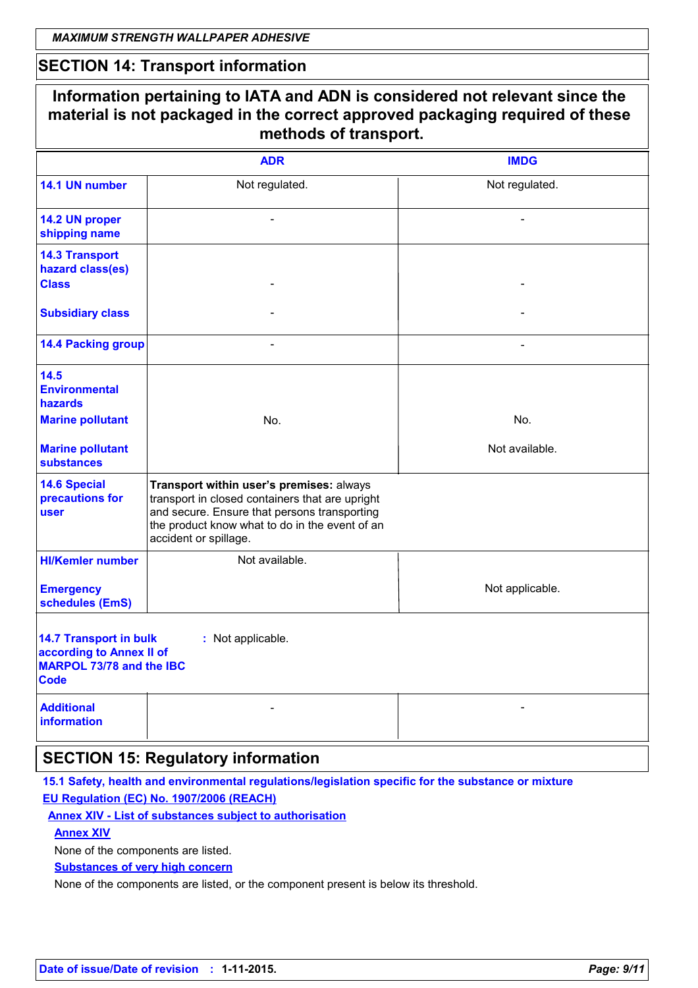## **SECTION 14: Transport information**

|                                                                                                             | <b>ADR</b>                                                                                                                                                                                                             | <b>IMDG</b>     |
|-------------------------------------------------------------------------------------------------------------|------------------------------------------------------------------------------------------------------------------------------------------------------------------------------------------------------------------------|-----------------|
| 14.1 UN number                                                                                              | Not regulated.                                                                                                                                                                                                         | Not regulated.  |
| 14.2 UN proper<br>shipping name                                                                             |                                                                                                                                                                                                                        |                 |
| <b>14.3 Transport</b><br>hazard class(es)<br><b>Class</b>                                                   |                                                                                                                                                                                                                        |                 |
| <b>Subsidiary class</b>                                                                                     |                                                                                                                                                                                                                        |                 |
| <b>14.4 Packing group</b>                                                                                   |                                                                                                                                                                                                                        |                 |
| 14.5<br><b>Environmental</b><br>hazards                                                                     |                                                                                                                                                                                                                        |                 |
| <b>Marine pollutant</b>                                                                                     | No.                                                                                                                                                                                                                    | No.             |
| <b>Marine pollutant</b><br><b>substances</b>                                                                |                                                                                                                                                                                                                        | Not available.  |
| <b>14.6 Special</b><br>precautions for<br>user                                                              | Transport within user's premises: always<br>transport in closed containers that are upright<br>and secure. Ensure that persons transporting<br>the product know what to do in the event of an<br>accident or spillage. |                 |
| <b>HI/Kemler number</b>                                                                                     | Not available.                                                                                                                                                                                                         |                 |
| <b>Emergency</b><br>schedules (EmS)                                                                         |                                                                                                                                                                                                                        | Not applicable. |
| <b>14.7 Transport in bulk</b><br>according to Annex II of<br><b>MARPOL 73/78 and the IBC</b><br><b>Code</b> | : Not applicable.                                                                                                                                                                                                      |                 |
| <b>Additional</b><br><b>information</b>                                                                     |                                                                                                                                                                                                                        |                 |

## **SECTION 15: Regulatory information**

**15.1 Safety, health and environmental regulations/legislation specific for the substance or mixture EU Regulation (EC) No. 1907/2006 (REACH)**

**Annex XIV - List of substances subject to authorisation**

### **Annex XIV**

None of the components are listed.

**Substances of very high concern**

None of the components are listed, or the component present is below its threshold.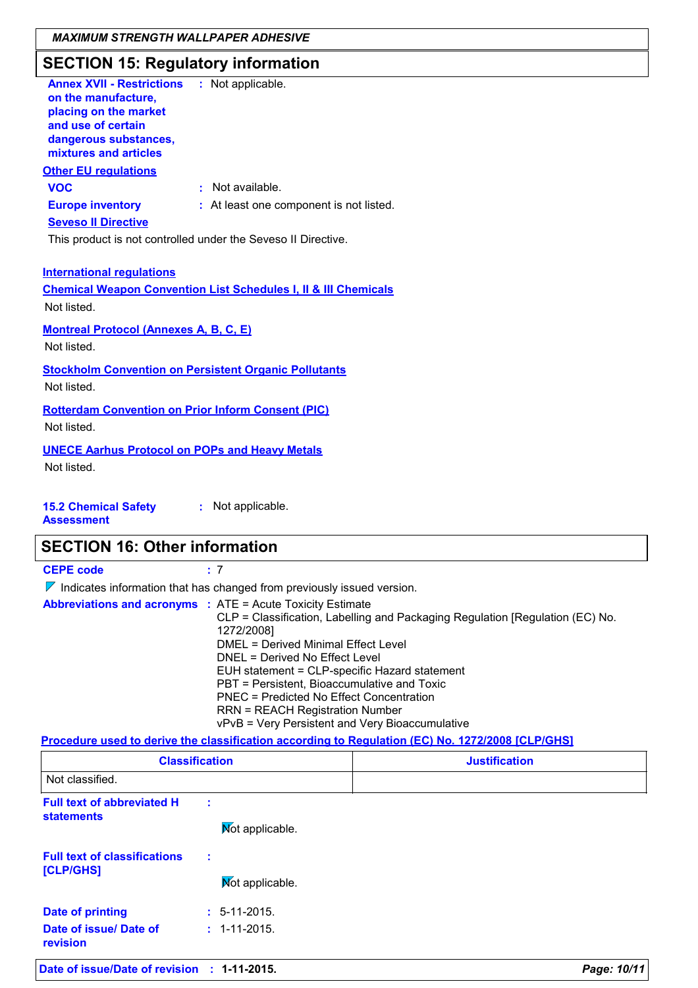## **SECTION 15: Regulatory information**

| <b>Annex XVII - Restrictions</b><br>on the manufacture,<br>placing on the market<br>and use of certain<br>dangerous substances,<br>mixtures and articles | : Not applicable.                                                          |  |  |
|----------------------------------------------------------------------------------------------------------------------------------------------------------|----------------------------------------------------------------------------|--|--|
| <b>Other EU regulations</b>                                                                                                                              |                                                                            |  |  |
| <b>VOC</b>                                                                                                                                               | $\pm$ Not available.                                                       |  |  |
| <b>Europe inventory</b>                                                                                                                                  | : At least one component is not listed.                                    |  |  |
| <b>Seveso II Directive</b>                                                                                                                               |                                                                            |  |  |
|                                                                                                                                                          | This product is not controlled under the Seveso II Directive.              |  |  |
| <b>International regulations</b><br>Not listed.                                                                                                          | <b>Chemical Weapon Convention List Schedules I, II &amp; III Chemicals</b> |  |  |
| <b>Montreal Protocol (Annexes A, B, C, E)</b><br>Not listed.                                                                                             |                                                                            |  |  |
| Not listed.                                                                                                                                              | <b>Stockholm Convention on Persistent Organic Pollutants</b>               |  |  |
| <b>Rotterdam Convention on Prior Inform Consent (PIC)</b><br>Not listed.                                                                                 |                                                                            |  |  |
| <b>UNECE Aarhus Protocol on POPs and Heavy Metals</b><br>Not listed.                                                                                     |                                                                            |  |  |

#### **15.2 Chemical Safety :** Not applicable.

**Assessment**

## **SECTION 16: Other information**

**CEPE code :** 7

 $\nabla$  Indicates information that has changed from previously issued version.

| <b>Abbreviations and acronyms : ATE = Acute Toxicity Estimate</b><br>CLP = Classification, Labelling and Packaging Regulation [Regulation (EC) No.<br>1272/2008]<br>DMEL = Derived Minimal Effect Level<br>DNEL = Derived No Effect Level<br>EUH statement = CLP-specific Hazard statement<br>PBT = Persistent, Bioaccumulative and Toxic<br>PNEC = Predicted No Effect Concentration<br><b>RRN = REACH Registration Number</b> |
|---------------------------------------------------------------------------------------------------------------------------------------------------------------------------------------------------------------------------------------------------------------------------------------------------------------------------------------------------------------------------------------------------------------------------------|
| vPvB = Very Persistent and Very Bioaccumulative                                                                                                                                                                                                                                                                                                                                                                                 |

### **Procedure used to derive the classification according to Regulation (EC) No. 1272/2008 [CLP/GHS]**

| <b>Classification</b><br>Not classified.               |   |                    | <b>Justification</b> |
|--------------------------------------------------------|---|--------------------|----------------------|
|                                                        |   |                    |                      |
| <b>Full text of abbreviated H</b><br><b>statements</b> | t | Mot applicable.    |                      |
| <b>Full text of classifications</b><br>[CLP/GHS]       | ÷ | Mot applicable.    |                      |
| <b>Date of printing</b>                                |   | $: 5-11-2015.$     |                      |
| Date of issue/ Date of<br>revision                     |   | $: 1 - 11 - 2015.$ |                      |
| Date of issue/Date of revision : 1-11-2015.            |   |                    | Page: 10/11          |